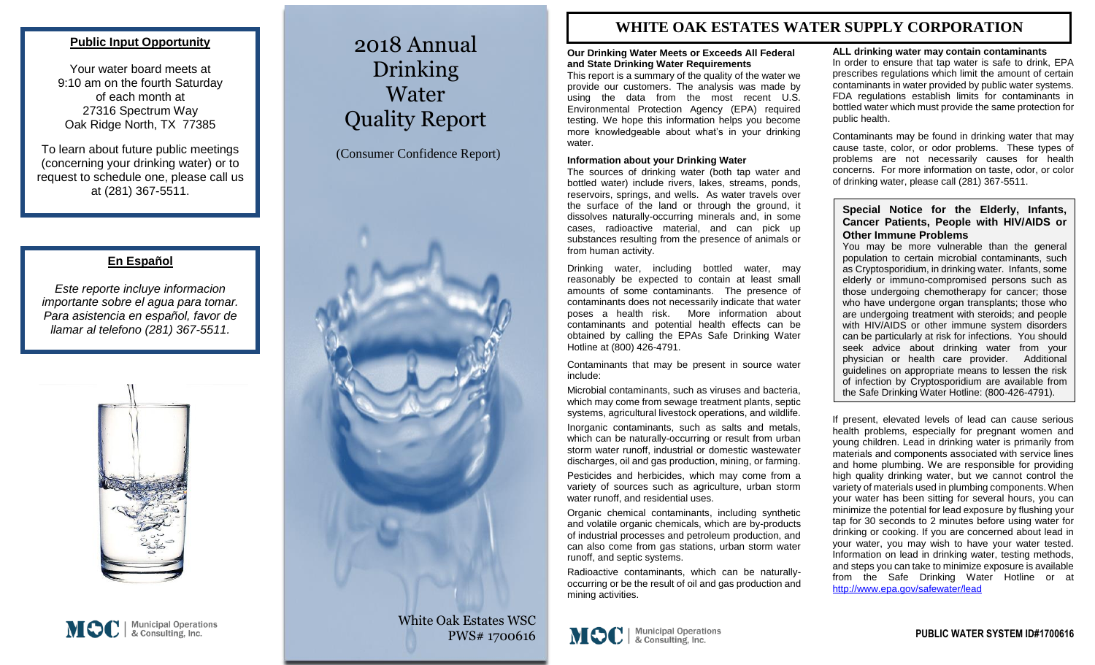### **Public Input Opportunity**

Your water board meets at 9:10 am on the fourth Saturday of each month at 27316 Spectrum Way Oak Ridge North, TX 77385

To learn about future public meetings (concerning your drinking water) or to request to schedule one, please call us at (281) 367-5511.

## **En Español**

*Este reporte incluye informacion importante sobre el agua para tomar. Para asistencia en español, favor de llamar al telefono (281) 367-5511.*



# 2018 Annual Drinking Water Quality Report

(Consumer Confidence Report)



White Oak Estates WSC PWS# 1700616

PWS ID#: 0790502

# **WHITE OAK ESTATES WATER SUPPLY CORPORATION**

#### **Our Drinking Water Meets or Exceeds All Federal and State Drinking Water Requirements**

This report is a summary of the quality of the water we provide our customers. The analysis was made by using the data from the most recent U.S. Environmental Protection Agency (EPA) required testing. We hope this information helps you become more knowledgeable about what's in your drinking water.

#### **Information about your Drinking Water**

The sources of drinking water (both tap water and bottled water) include rivers, lakes, streams, ponds, reservoirs, springs, and wells. As water travels over the surface of the land or through the ground, it dissolves naturally-occurring minerals and, in some cases, radioactive material, and can pick up substances resulting from the presence of animals or from human activity.

Drinking water, including bottled water, may reasonably be expected to contain at least small amounts of some contaminants. The presence of contaminants does not necessarily indicate that water poses a health risk. More information about contaminants and potential health effects can be obtained by calling the EPAs Safe Drinking Water Hotline at (800) 426-4791.

Contaminants that may be present in source water include:

Microbial contaminants, such as viruses and bacteria, which may come from sewage treatment plants, septic systems, agricultural livestock operations, and wildlife.

Inorganic contaminants, such as salts and metals, which can be naturally-occurring or result from urban storm water runoff, industrial or domestic wastewater discharges, oil and gas production, mining, or farming.

Pesticides and herbicides, which may come from a variety of sources such as agriculture, urban storm water runoff, and residential uses.

Organic chemical contaminants, including synthetic and volatile organic chemicals, which are by-products of industrial processes and petroleum production, and can also come from gas stations, urban storm water runoff, and septic systems.

Radioactive contaminants, which can be naturallyoccurring or be the result of oil and gas production and mining activities.

#### **ALL drinking water may contain contaminants**

In order to ensure that tap water is safe to drink, EPA prescribes regulations which limit the amount of certain contaminants in water provided by public water systems. FDA regulations establish limits for contaminants in bottled water which must provide the same protection for public health.

Contaminants may be found in drinking water that may cause taste, color, or odor problems. These types of problems are not necessarily causes for health concerns. For more information on taste, odor, or color of drinking water, please call (281) 367-5511.

#### **Special Notice for the Elderly, Infants, Cancer Patients, People with HIV/AIDS or Other Immune Problems**

You may be more vulnerable than the general population to certain microbial contaminants, such as Cryptosporidium, in drinking water. Infants, some elderly or immuno-compromised persons such as those undergoing chemotherapy for cancer; those who have undergone organ transplants; those who are undergoing treatment with steroids; and people with HIV/AIDS or other immune system disorders can be particularly at risk for infections. You should seek advice about drinking water from your physician or health care provider. Additional guidelines on appropriate means to lessen the risk of infection by Cryptosporidium are available from the Safe Drinking Water Hotline: (800-426-4791).

If present, elevated levels of lead can cause serious health problems, especially for pregnant women and young children. Lead in drinking water is primarily from materials and components associated with service lines and home plumbing. We are responsible for providing high quality drinking water, but we cannot control the variety of materials used in plumbing components. When your water has been sitting for several hours, you can minimize the potential for lead exposure by flushing your tap for 30 seconds to 2 minutes before using water for drinking or cooking. If you are concerned about lead in your water, you may wish to have your water tested. Information on lead in drinking water, testing methods, and steps you can take to minimize exposure is available from the Safe Drinking Water Hotline or at <http://www.epa.gov/safewater/lead>

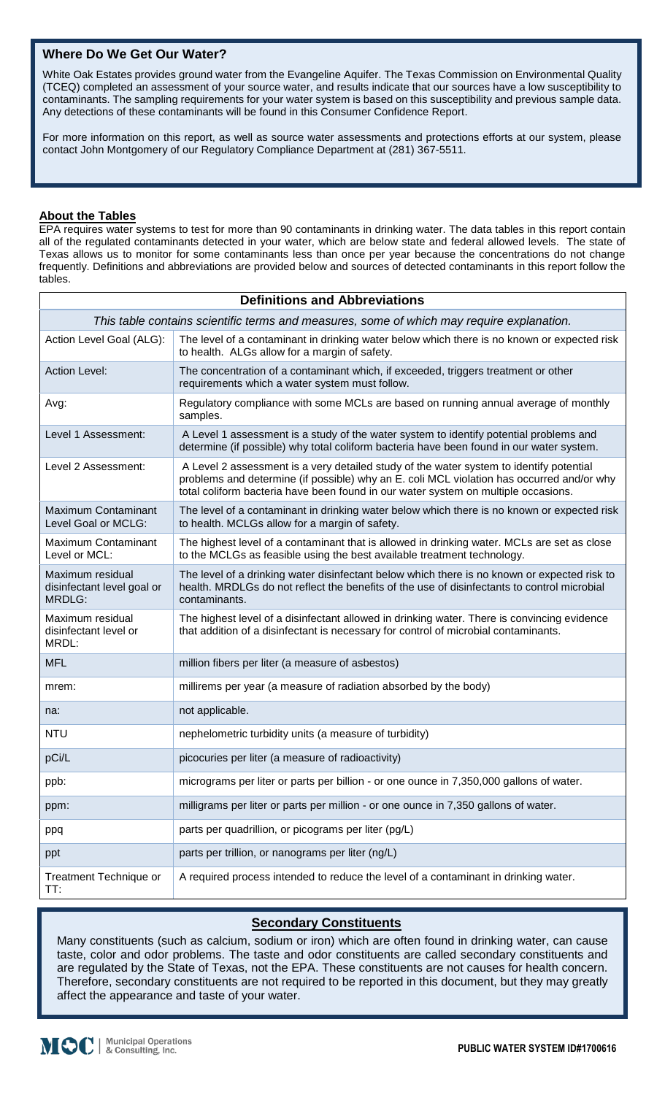# **Where Do We Get Our Water?**

White Oak Estates provides ground water from the Evangeline Aquifer. The Texas Commission on Environmental Quality (TCEQ) completed an assessment of your source water, and results indicate that our sources have a low susceptibility to contaminants. The sampling requirements for your water system is based on this susceptibility and previous sample data. Any detections of these contaminants will be found in this Consumer Confidence Report.

For more information on this report, as well as source water assessments and protections efforts at our system, please contact John Montgomery of our Regulatory Compliance Department at (281) 367-5511.

# **About the Tables**

EPA requires water systems to test for more than 90 contaminants in drinking water. The data tables in this report contain all of the regulated contaminants detected in your water, which are below state and federal allowed levels. The state of Texas allows us to monitor for some contaminants less than once per year because the concentrations do not change frequently. Definitions and abbreviations are provided below and sources of detected contaminants in this report follow the tables.

| <b>Definitions and Abbreviations</b>                                                      |                                                                                                                                                                                                                                                                            |  |  |  |  |
|-------------------------------------------------------------------------------------------|----------------------------------------------------------------------------------------------------------------------------------------------------------------------------------------------------------------------------------------------------------------------------|--|--|--|--|
| This table contains scientific terms and measures, some of which may require explanation. |                                                                                                                                                                                                                                                                            |  |  |  |  |
| Action Level Goal (ALG):                                                                  | The level of a contaminant in drinking water below which there is no known or expected risk<br>to health. ALGs allow for a margin of safety.                                                                                                                               |  |  |  |  |
| <b>Action Level:</b>                                                                      | The concentration of a contaminant which, if exceeded, triggers treatment or other<br>requirements which a water system must follow.                                                                                                                                       |  |  |  |  |
| Avg:                                                                                      | Regulatory compliance with some MCLs are based on running annual average of monthly<br>samples.                                                                                                                                                                            |  |  |  |  |
| Level 1 Assessment:                                                                       | A Level 1 assessment is a study of the water system to identify potential problems and<br>determine (if possible) why total coliform bacteria have been found in our water system.                                                                                         |  |  |  |  |
| Level 2 Assessment:                                                                       | A Level 2 assessment is a very detailed study of the water system to identify potential<br>problems and determine (if possible) why an E. coli MCL violation has occurred and/or why<br>total coliform bacteria have been found in our water system on multiple occasions. |  |  |  |  |
| <b>Maximum Contaminant</b><br>Level Goal or MCLG:                                         | The level of a contaminant in drinking water below which there is no known or expected risk<br>to health. MCLGs allow for a margin of safety.                                                                                                                              |  |  |  |  |
| Maximum Contaminant<br>Level or MCL:                                                      | The highest level of a contaminant that is allowed in drinking water. MCLs are set as close<br>to the MCLGs as feasible using the best available treatment technology.                                                                                                     |  |  |  |  |
| Maximum residual<br>disinfectant level goal or<br>MRDLG:                                  | The level of a drinking water disinfectant below which there is no known or expected risk to<br>health. MRDLGs do not reflect the benefits of the use of disinfectants to control microbial<br>contaminants.                                                               |  |  |  |  |
| Maximum residual<br>disinfectant level or<br>MRDL:                                        | The highest level of a disinfectant allowed in drinking water. There is convincing evidence<br>that addition of a disinfectant is necessary for control of microbial contaminants.                                                                                         |  |  |  |  |
| <b>MFL</b>                                                                                | million fibers per liter (a measure of asbestos)                                                                                                                                                                                                                           |  |  |  |  |
| mrem:                                                                                     | millirems per year (a measure of radiation absorbed by the body)                                                                                                                                                                                                           |  |  |  |  |
| na:                                                                                       | not applicable.                                                                                                                                                                                                                                                            |  |  |  |  |
| <b>NTU</b>                                                                                | nephelometric turbidity units (a measure of turbidity)                                                                                                                                                                                                                     |  |  |  |  |
| pCi/L                                                                                     | picocuries per liter (a measure of radioactivity)                                                                                                                                                                                                                          |  |  |  |  |
| ppb:                                                                                      | micrograms per liter or parts per billion - or one ounce in 7,350,000 gallons of water.                                                                                                                                                                                    |  |  |  |  |
| ppm:                                                                                      | milligrams per liter or parts per million - or one ounce in 7,350 gallons of water.                                                                                                                                                                                        |  |  |  |  |
| ppq                                                                                       | parts per quadrillion, or picograms per liter (pg/L)                                                                                                                                                                                                                       |  |  |  |  |
| ppt                                                                                       | parts per trillion, or nanograms per liter (ng/L)                                                                                                                                                                                                                          |  |  |  |  |
| <b>Treatment Technique or</b><br>TT:                                                      | A required process intended to reduce the level of a contaminant in drinking water.                                                                                                                                                                                        |  |  |  |  |

# **Secondary Constituents**

Many constituents (such as calcium, sodium or iron) which are often found in drinking water, can cause taste, color and odor problems. The taste and odor constituents are called secondary constituents and are regulated by the State of Texas, not the EPA. These constituents are not causes for health concern. Therefore, secondary constituents are not required to be reported in this document, but they may greatly affect the appearance and taste of your water.